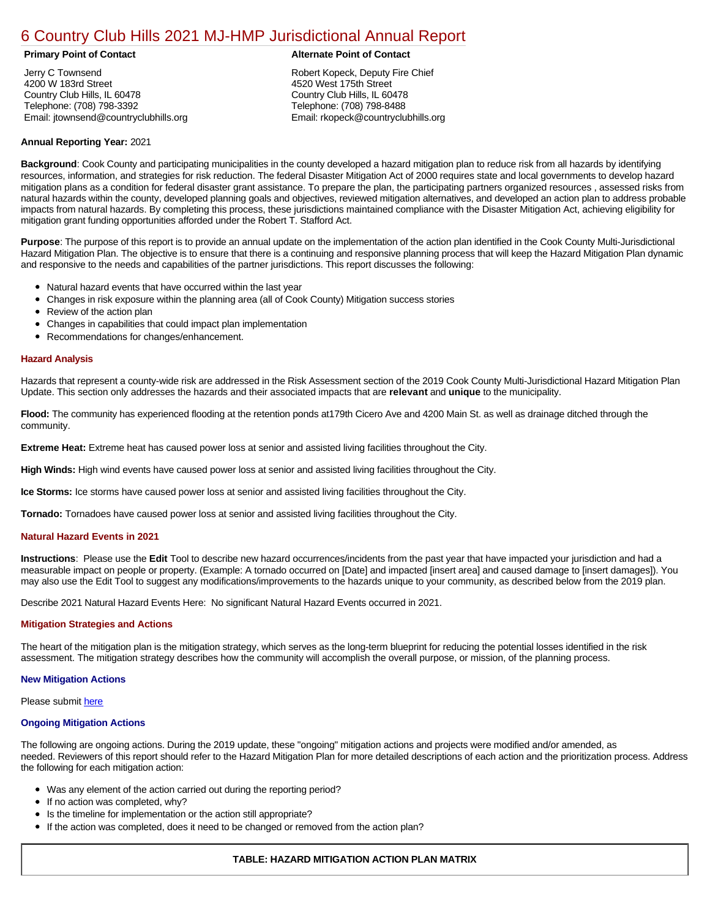# [6 Country Club Hills 2021 MJ-HMP Jurisdictional Annual Report](https://countryclubhills.isc-cemp.com/Cemp/Details?id=8322826)

Jerry C Townsend 4200 W 183rd Street Country Club Hills, IL 60478 Telephone: (708) 798-3392 Email: jtownsend@countryclubhills.org

#### **Primary Point of Contact Alternate Point of Contact**

Robert Kopeck, Deputy Fire Chief 4520 West 175th Street Country Club Hills, IL 60478 Telephone: (708) 798-8488 Email: rkopeck@countryclubhills.org

# **Annual Reporting Year:** 2021

**Background**: Cook County and participating municipalities in the county developed a hazard mitigation plan to reduce risk from all hazards by identifying resources, information, and strategies for risk reduction. The federal Disaster Mitigation Act of 2000 requires state and local governments to develop hazard mitigation plans as a condition for federal disaster grant assistance. To prepare the plan, the participating partners organized resources , assessed risks from natural hazards within the county, developed planning goals and objectives, reviewed mitigation alternatives, and developed an action plan to address probable impacts from natural hazards. By completing this process, these jurisdictions maintained compliance with the Disaster Mitigation Act, achieving eligibility for mitigation grant funding opportunities afforded under the Robert T. Stafford Act.

**Purpose**: The purpose of this report is to provide an annual update on the implementation of the action plan identified in the Cook County Multi-Jurisdictional Hazard Mitigation Plan. The objective is to ensure that there is a continuing and responsive planning process that will keep the Hazard Mitigation Plan dynamic and responsive to the needs and capabilities of the partner jurisdictions. This report discusses the following:

- Natural hazard events that have occurred within the last year
- $\bullet$ Changes in risk exposure within the planning area (all of Cook County) Mitigation success stories
- Review of the action plan  $\bullet$
- $\bullet$ Changes in capabilities that could impact plan implementation
- Recommendations for changes/enhancement.  $\bullet$

#### **Hazard Analysis**

Hazards that represent a county-wide risk are addressed in the Risk Assessment section of the 2019 Cook County Multi-Jurisdictional Hazard Mitigation Plan Update. This section only addresses the hazards and their associated impacts that are **relevant** and **unique** to the municipality.

**Flood:** The community has experienced flooding at the retention ponds at179th Cicero Ave and 4200 Main St. as well as drainage ditched through the community.

**Extreme Heat:** Extreme heat has caused power loss at senior and assisted living facilities throughout the City.

**High Winds:** High wind events have caused power loss at senior and assisted living facilities throughout the City.

**Ice Storms:** Ice storms have caused power loss at senior and assisted living facilities throughout the City.

**Tornado:** Tornadoes have caused power loss at senior and assisted living facilities throughout the City.

### **Natural Hazard Events in 2021**

**Instructions**: Please use the **Edit** Tool to describe new hazard occurrences/incidents from the past year that have impacted your jurisdiction and had a measurable impact on people or property. (Example: A tornado occurred on [Date] and impacted [insert area] and caused damage to [insert damages]). You may also use the Edit Tool to suggest any modifications/improvements to the hazards unique to your community, as described below from the 2019 plan.

Describe 2021 Natural Hazard Events Here: No significant Natural Hazard Events occurred in 2021.

### **Mitigation Strategies and Actions**

The heart of the mitigation plan is the mitigation strategy, which serves as the long-term blueprint for reducing the potential losses identified in the risk assessment. The mitigation strategy describes how the community will accomplish the overall purpose, or mission, of the planning process.

#### **New Mitigation Actions**

Please submit [here](https://integratedsolutions.wufoo.com/forms/mg21jvf0jn639o/)

#### **Ongoing Mitigation Actions**

The following are ongoing actions. During the 2019 update, these "ongoing" mitigation actions and projects were modified and/or amended, as needed. Reviewers of this report should refer to the Hazard Mitigation Plan for more detailed descriptions of each action and the prioritization process. Address the following for each mitigation action:

- Was any element of the action carried out during the reporting period?
- If no action was completed, why?  $\bullet$
- $\bullet$ Is the timeline for implementation or the action still appropriate?
- If the action was completed, does it need to be changed or removed from the action plan?

## **TABLE: HAZARD MITIGATION ACTION PLAN MATRIX**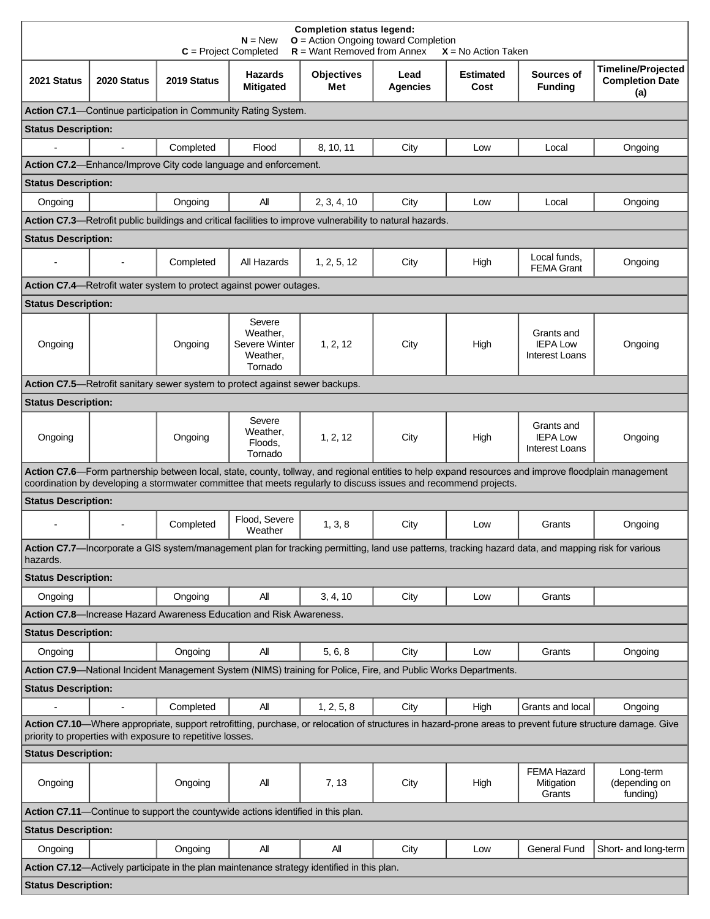| <b>Completion status legend:</b><br>$N = New$<br>$O =$ Action Ongoing toward Completion<br>$R =$ Want Removed from Annex<br>$C = Project Completed$<br>$X = No$ Action Taken                                                                                             |                          |                                                                              |                                                            |                                                                                                                 |                         |                          |                                                                                                                                                     |                                                            |  |  |
|--------------------------------------------------------------------------------------------------------------------------------------------------------------------------------------------------------------------------------------------------------------------------|--------------------------|------------------------------------------------------------------------------|------------------------------------------------------------|-----------------------------------------------------------------------------------------------------------------|-------------------------|--------------------------|-----------------------------------------------------------------------------------------------------------------------------------------------------|------------------------------------------------------------|--|--|
| 2021 Status                                                                                                                                                                                                                                                              | 2020 Status              | 2019 Status                                                                  | <b>Hazards</b><br><b>Mitigated</b>                         | <b>Objectives</b><br>Met                                                                                        | Lead<br><b>Agencies</b> | <b>Estimated</b><br>Cost | Sources of<br><b>Funding</b>                                                                                                                        | <b>Timeline/Projected</b><br><b>Completion Date</b><br>(a) |  |  |
| Action C7.1—Continue participation in Community Rating System.                                                                                                                                                                                                           |                          |                                                                              |                                                            |                                                                                                                 |                         |                          |                                                                                                                                                     |                                                            |  |  |
| <b>Status Description:</b>                                                                                                                                                                                                                                               |                          |                                                                              |                                                            |                                                                                                                 |                         |                          |                                                                                                                                                     |                                                            |  |  |
| $\mathbf{r}$                                                                                                                                                                                                                                                             | $\blacksquare$           | Completed                                                                    | Flood                                                      | 8, 10, 11                                                                                                       | City                    | Low                      | Local                                                                                                                                               | Ongoing                                                    |  |  |
|                                                                                                                                                                                                                                                                          |                          | Action C7.2-Enhance/Improve City code language and enforcement.              |                                                            |                                                                                                                 |                         |                          |                                                                                                                                                     |                                                            |  |  |
| <b>Status Description:</b>                                                                                                                                                                                                                                               |                          |                                                                              |                                                            |                                                                                                                 |                         |                          |                                                                                                                                                     |                                                            |  |  |
| Ongoing                                                                                                                                                                                                                                                                  |                          | Ongoing                                                                      | All                                                        | 2, 3, 4, 10                                                                                                     | City                    | Low                      | Local                                                                                                                                               | Ongoing                                                    |  |  |
| Action C7.3—Retrofit public buildings and critical facilities to improve vulnerability to natural hazards.                                                                                                                                                               |                          |                                                                              |                                                            |                                                                                                                 |                         |                          |                                                                                                                                                     |                                                            |  |  |
| <b>Status Description:</b>                                                                                                                                                                                                                                               |                          |                                                                              |                                                            |                                                                                                                 |                         |                          |                                                                                                                                                     |                                                            |  |  |
|                                                                                                                                                                                                                                                                          |                          | Completed                                                                    | All Hazards                                                | 1, 2, 5, 12                                                                                                     | City                    | High                     | Local funds,<br><b>FEMA Grant</b>                                                                                                                   | Ongoing                                                    |  |  |
|                                                                                                                                                                                                                                                                          |                          | <b>Action C7.4</b> —Retrofit water system to protect against power outages.  |                                                            |                                                                                                                 |                         |                          |                                                                                                                                                     |                                                            |  |  |
| <b>Status Description:</b>                                                                                                                                                                                                                                               |                          |                                                                              |                                                            |                                                                                                                 |                         |                          |                                                                                                                                                     |                                                            |  |  |
| Ongoing                                                                                                                                                                                                                                                                  |                          | Ongoing                                                                      | Severe<br>Weather,<br>Severe Winter<br>Weather,<br>Tornado | 1, 2, 12                                                                                                        | City                    | High                     | Grants and<br><b>IEPA Low</b><br>Interest Loans                                                                                                     | Ongoing                                                    |  |  |
|                                                                                                                                                                                                                                                                          |                          | Action C7.5—Retrofit sanitary sewer system to protect against sewer backups. |                                                            |                                                                                                                 |                         |                          |                                                                                                                                                     |                                                            |  |  |
| <b>Status Description:</b>                                                                                                                                                                                                                                               |                          |                                                                              |                                                            |                                                                                                                 |                         |                          |                                                                                                                                                     |                                                            |  |  |
| Ongoing                                                                                                                                                                                                                                                                  |                          | Ongoing                                                                      | Severe<br>Weather,<br>Floods,<br>Tornado                   | 1, 2, 12                                                                                                        | City                    | High                     | Grants and<br><b>IEPA Low</b><br><b>Interest Loans</b>                                                                                              | Ongoing                                                    |  |  |
| Action C7.6—Form partnership between local, state, county, tollway, and regional entities to help expand resources and improve floodplain management<br>coordination by developing a stormwater committee that meets regularly to discuss issues and recommend projects. |                          |                                                                              |                                                            |                                                                                                                 |                         |                          |                                                                                                                                                     |                                                            |  |  |
| <b>Status Description:</b>                                                                                                                                                                                                                                               |                          |                                                                              |                                                            |                                                                                                                 |                         |                          |                                                                                                                                                     |                                                            |  |  |
|                                                                                                                                                                                                                                                                          |                          | Completed                                                                    | Flood, Severe<br>Weather                                   | 1, 3, 8                                                                                                         | City                    | Low                      | Grants                                                                                                                                              | Ongoing                                                    |  |  |
| hazards.                                                                                                                                                                                                                                                                 |                          |                                                                              |                                                            |                                                                                                                 |                         |                          | Action C7.7-Incorporate a GIS system/management plan for tracking permitting, land use patterns, tracking hazard data, and mapping risk for various |                                                            |  |  |
| <b>Status Description:</b>                                                                                                                                                                                                                                               |                          |                                                                              |                                                            |                                                                                                                 |                         |                          |                                                                                                                                                     |                                                            |  |  |
| Ongoing                                                                                                                                                                                                                                                                  |                          | Ongoing                                                                      | All                                                        | 3, 4, 10                                                                                                        | City                    | Low                      | Grants                                                                                                                                              |                                                            |  |  |
|                                                                                                                                                                                                                                                                          |                          | Action C7.8-Increase Hazard Awareness Education and Risk Awareness.          |                                                            |                                                                                                                 |                         |                          |                                                                                                                                                     |                                                            |  |  |
| <b>Status Description:</b>                                                                                                                                                                                                                                               |                          |                                                                              |                                                            |                                                                                                                 |                         |                          |                                                                                                                                                     |                                                            |  |  |
| Ongoing                                                                                                                                                                                                                                                                  |                          | Ongoing                                                                      | All                                                        | 5, 6, 8                                                                                                         | City                    | Low                      | Grants                                                                                                                                              | Ongoing                                                    |  |  |
|                                                                                                                                                                                                                                                                          |                          |                                                                              |                                                            | Action C7.9-National Incident Management System (NIMS) training for Police, Fire, and Public Works Departments. |                         |                          |                                                                                                                                                     |                                                            |  |  |
| <b>Status Description:</b>                                                                                                                                                                                                                                               |                          |                                                                              |                                                            |                                                                                                                 |                         |                          |                                                                                                                                                     |                                                            |  |  |
|                                                                                                                                                                                                                                                                          | $\overline{\phantom{a}}$ | Completed                                                                    | All                                                        | 1, 2, 5, 8                                                                                                      | City                    | High                     | Grants and local                                                                                                                                    | Ongoing                                                    |  |  |
| Action C7.10-Where appropriate, support retrofitting, purchase, or relocation of structures in hazard-prone areas to prevent future structure damage. Give<br>priority to properties with exposure to repetitive losses.                                                 |                          |                                                                              |                                                            |                                                                                                                 |                         |                          |                                                                                                                                                     |                                                            |  |  |
| <b>Status Description:</b>                                                                                                                                                                                                                                               |                          |                                                                              |                                                            |                                                                                                                 |                         |                          |                                                                                                                                                     |                                                            |  |  |
| Ongoing                                                                                                                                                                                                                                                                  |                          | Ongoing                                                                      | All                                                        | 7, 13                                                                                                           | City                    | High                     | <b>FEMA Hazard</b><br>Mitigation<br>Grants                                                                                                          | Long-term<br>(depending on<br>funding)                     |  |  |
| Action C7.11-Continue to support the countywide actions identified in this plan.                                                                                                                                                                                         |                          |                                                                              |                                                            |                                                                                                                 |                         |                          |                                                                                                                                                     |                                                            |  |  |
| <b>Status Description:</b>                                                                                                                                                                                                                                               |                          |                                                                              |                                                            |                                                                                                                 |                         |                          |                                                                                                                                                     |                                                            |  |  |
| Ongoing                                                                                                                                                                                                                                                                  |                          | Ongoing                                                                      | All                                                        | All                                                                                                             | City                    | Low                      | <b>General Fund</b>                                                                                                                                 | Short- and long-term                                       |  |  |
|                                                                                                                                                                                                                                                                          |                          |                                                                              |                                                            | Action C7.12-Actively participate in the plan maintenance strategy identified in this plan.                     |                         |                          |                                                                                                                                                     |                                                            |  |  |
| <b>Status Description:</b>                                                                                                                                                                                                                                               |                          |                                                                              |                                                            |                                                                                                                 |                         |                          |                                                                                                                                                     |                                                            |  |  |